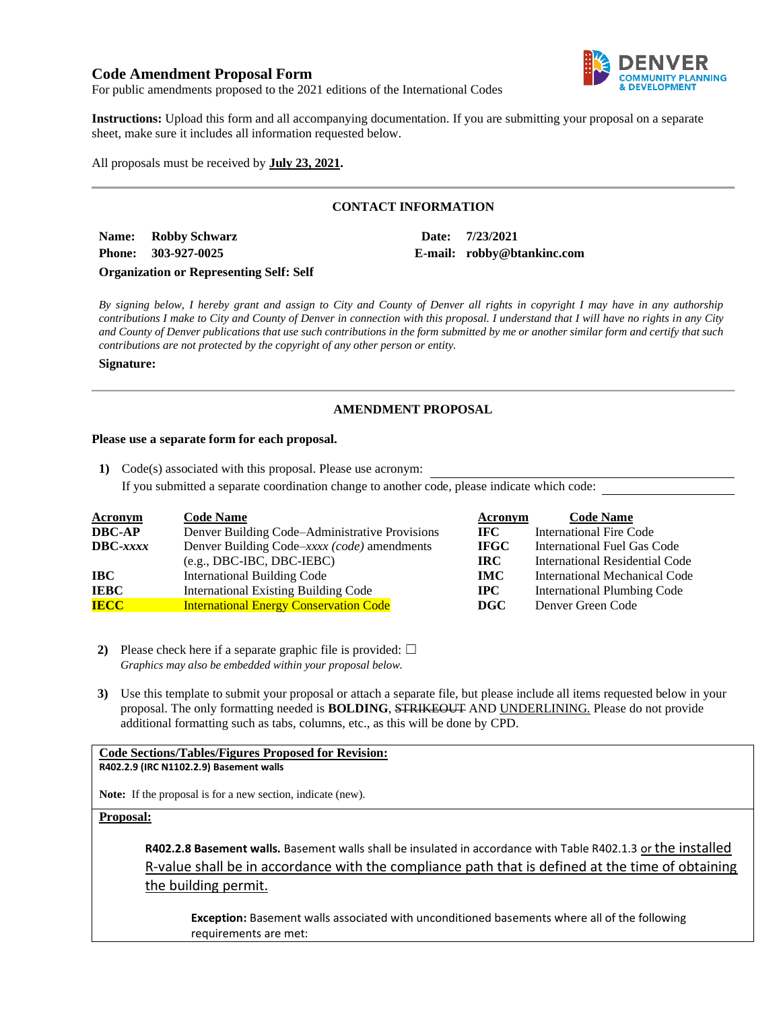## **Code Amendment Proposal Form**



For public amendments proposed to the 2021 editions of the International Codes

**Instructions:** Upload this form and all accompanying documentation. If you are submitting your proposal on a separate sheet, make sure it includes all information requested below.

All proposals must be received by **July 23, 2021.**

# **CONTACT INFORMATION**

**Name: Robby Schwarz Date: 7/23/2021 Phone: 303-927-0025 E-mail: robby@btankinc.com**

## **Organization or Representing Self: Self**

*By signing below, I hereby grant and assign to City and County of Denver all rights in copyright I may have in any authorship contributions I make to City and County of Denver in connection with this proposal. I understand that I will have no rights in any City and County of Denver publications that use such contributions in the form submitted by me or another similar form and certify that such contributions are not protected by the copyright of any other person or entity.* 

#### **Signature:**

## **AMENDMENT PROPOSAL**

### **Please use a separate form for each proposal.**

**1)** Code(s) associated with this proposal. Please use acronym: If you submitted a separate coordination change to another code, please indicate which code:

| <b>Acronym</b>    | <b>Code Name</b>                               | Acronym      | <b>Code Name</b>                   |
|-------------------|------------------------------------------------|--------------|------------------------------------|
| <b>DBC-AP</b>     | Denver Building Code–Administrative Provisions | IFC -        | International Fire Code            |
| $\text{DBC}-xxxx$ | Denver Building Code-xxxx (code) amendments    | <b>IFGC</b>  | International Fuel Gas Code        |
|                   | $(e.g., DBC-IBC, DBC-IEBC)$                    | IRC.         | International Residential Code     |
| IBC               | <b>International Building Code</b>             | <b>IMC</b>   | International Mechanical Code      |
| <b>IEBC</b>       | <b>International Existing Building Code</b>    | $_{\rm IPC}$ | <b>International Plumbing Code</b> |
| <b>IECC</b>       | <b>International Energy Conservation Code</b>  | <b>DGC</b>   | Denver Green Code                  |

- **2)** Please check here if a separate graphic file is provided:  $\Box$ *Graphics may also be embedded within your proposal below.*
- **3)** Use this template to submit your proposal or attach a separate file, but please include all items requested below in your proposal. The only formatting needed is **BOLDING**, STRIKEOUT AND UNDERLINING. Please do not provide additional formatting such as tabs, columns, etc., as this will be done by CPD.

#### **Code Sections/Tables/Figures Proposed for Revision: R402.2.9 (IRC N1102.2.9) Basement walls**

**Note:** If the proposal is for a new section, indicate (new).

**Proposal:**

**R402.2.8 Basement walls.** Basement walls shall be insulated in accordance with Table R402.1.3 or the installed R-value shall be in accordance with the compliance path that is defined at the time of obtaining the building permit.

**Exception:** Basement walls associated with unconditioned basements where all of the following requirements are met: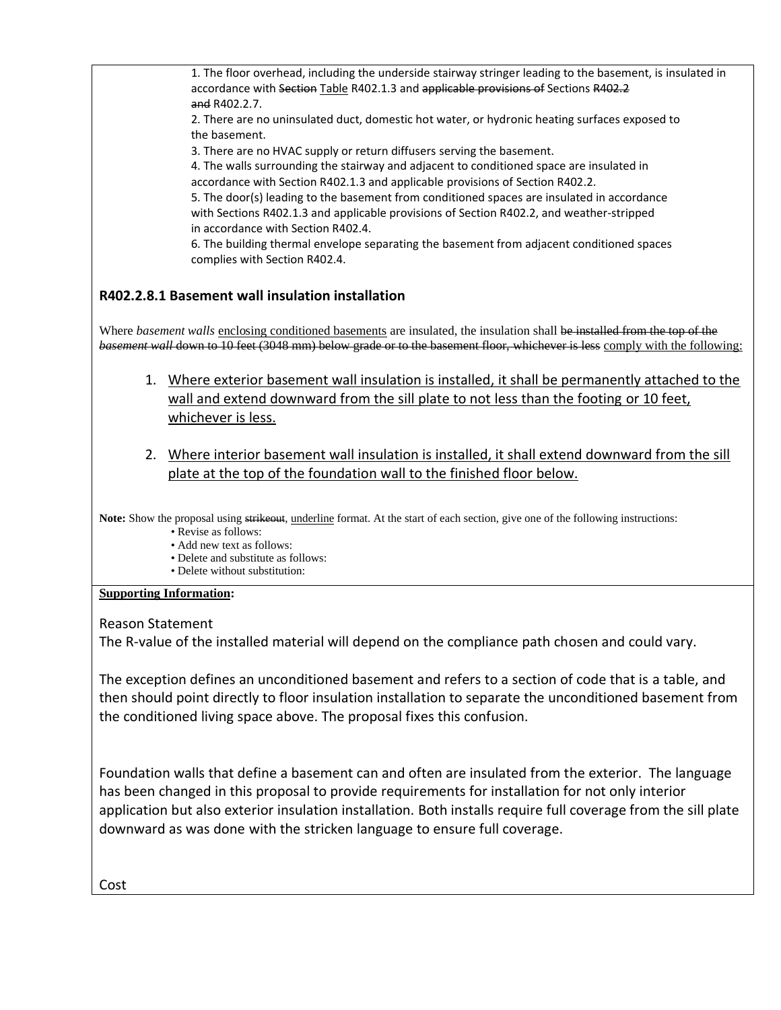1. The floor overhead, including the underside stairway stringer leading to the basement, is insulated in accordance with Section Table R402.1.3 and applicable provisions of Sections R402.2 and R402.2.7.

2. There are no uninsulated duct, domestic hot water, or hydronic heating surfaces exposed to the basement.

3. There are no HVAC supply or return diffusers serving the basement.

4. The walls surrounding the stairway and adjacent to conditioned space are insulated in accordance with Section R402.1.3 and applicable provisions of Section R402.2.

5. The door(s) leading to the basement from conditioned spaces are insulated in accordance with Sections R402.1.3 and applicable provisions of Section R402.2, and weather-stripped in accordance with Section R402.4.

6. The building thermal envelope separating the basement from adjacent conditioned spaces complies with Section R402.4.

# **R402.2.8.1 Basement wall insulation installation**

Where *basement walls* enclosing conditioned basements are insulated, the insulation shall be installed from the top of the *basement wall* down to 10 feet (3048 mm) below grade or to the basement floor, whichever is less comply with the following:

- 1. Where exterior basement wall insulation is installed, it shall be permanently attached to the wall and extend downward from the sill plate to not less than the footing or 10 feet, whichever is less.
- 2. Where interior basement wall insulation is installed, it shall extend downward from the sill plate at the top of the foundation wall to the finished floor below.

Note: Show the proposal using strikeout, underline format. At the start of each section, give one of the following instructions:

- Revise as follows:
- Add new text as follows:
- Delete and substitute as follows:
- Delete without substitution:

# **Supporting Information:**

Reason Statement

The R-value of the installed material will depend on the compliance path chosen and could vary.

The exception defines an unconditioned basement and refers to a section of code that is a table, and then should point directly to floor insulation installation to separate the unconditioned basement from the conditioned living space above. The proposal fixes this confusion.

Foundation walls that define a basement can and often are insulated from the exterior. The language has been changed in this proposal to provide requirements for installation for not only interior application but also exterior insulation installation. Both installs require full coverage from the sill plate downward as was done with the stricken language to ensure full coverage.

Cost